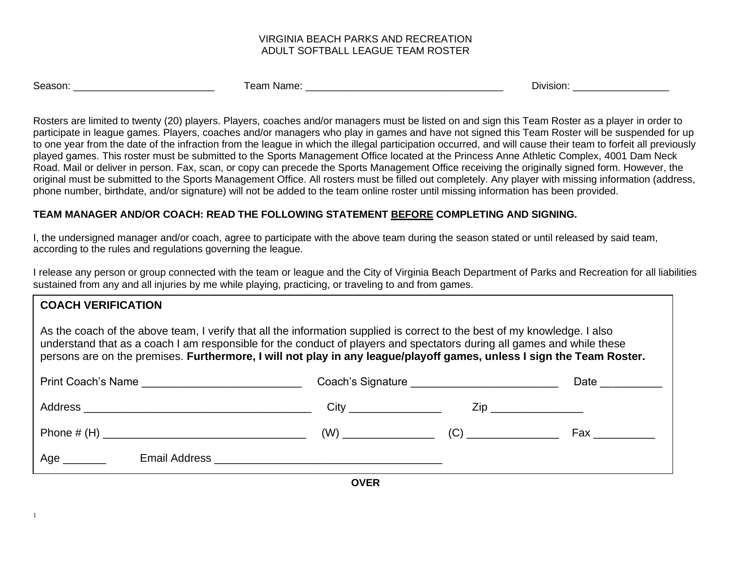### VIRGINIA BEACH PARKS AND RECREATION ADULT SOFTBALL LEAGUE TEAM ROSTER

| Season:<br>. Name:<br>Division:<br>eam |  |
|----------------------------------------|--|
|----------------------------------------|--|

Rosters are limited to twenty (20) players. Players, coaches and/or managers must be listed on and sign this Team Roster as a player in order to participate in league games. Players, coaches and/or managers who play in games and have not signed this Team Roster will be suspended for up to one year from the date of the infraction from the league in which the illegal participation occurred, and will cause their team to forfeit all previously played games. This roster must be submitted to the Sports Management Office located at the Princess Anne Athletic Complex, 4001 Dam Neck Road. Mail or deliver in person. Fax, scan, or copy can precede the Sports Management Office receiving the originally signed form. However, the original must be submitted to the Sports Management Office. All rosters must be filled out completely. Any player with missing information (address, phone number, birthdate, and/or signature) will not be added to the team online roster until missing information has been provided.

# **TEAM MANAGER AND/OR COACH: READ THE FOLLOWING STATEMENT BEFORE COMPLETING AND SIGNING.**

I, the undersigned manager and/or coach, agree to participate with the above team during the season stated or until released by said team, according to the rules and regulations governing the league.

I release any person or group connected with the team or league and the City of Virginia Beach Department of Parks and Recreation for all liabilities sustained from any and all injuries by me while playing, practicing, or traveling to and from games.

| <b>COACH VERIFICATION</b>                                                                                                                                                                                                                                                                                                                                                    |                                                |              |                                  |
|------------------------------------------------------------------------------------------------------------------------------------------------------------------------------------------------------------------------------------------------------------------------------------------------------------------------------------------------------------------------------|------------------------------------------------|--------------|----------------------------------|
| As the coach of the above team, I verify that all the information supplied is correct to the best of my knowledge. I also<br>understand that as a coach I am responsible for the conduct of players and spectators during all games and while these<br>persons are on the premises. Furthermore, I will not play in any league/playoff games, unless I sign the Team Roster. |                                                |              |                                  |
| Print Coach's Name                                                                                                                                                                                                                                                                                                                                                           | Coach's Signature ____________________________ | Date _______ |                                  |
|                                                                                                                                                                                                                                                                                                                                                                              |                                                | $City$ $Zip$ |                                  |
|                                                                                                                                                                                                                                                                                                                                                                              |                                                |              | $Fax \_\_\_\_\_\_\_\_\_\_\_\_\_$ |
| Age $\_\_$                                                                                                                                                                                                                                                                                                                                                                   |                                                |              |                                  |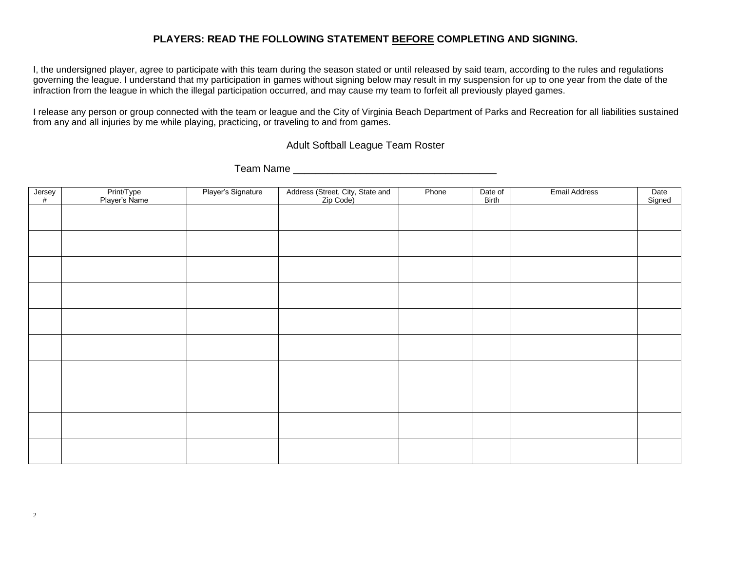## **PLAYERS: READ THE FOLLOWING STATEMENT BEFORE COMPLETING AND SIGNING.**

I, the undersigned player, agree to participate with this team during the season stated or until released by said team, according to the rules and regulations governing the league. I understand that my participation in games without signing below may result in my suspension for up to one year from the date of the infraction from the league in which the illegal participation occurred, and may cause my team to forfeit all previously played games.

I release any person or group connected with the team or league and the City of Virginia Beach Department of Parks and Recreation for all liabilities sustained from any and all injuries by me while playing, practicing, or traveling to and from games.

Adult Softball League Team Roster

Team Name **Example 20** 

| $Jersey$ # | Print/Type<br>Player's Name | Player's Signature | Address (Street, City, State and<br>Zip Code) | Phone | Date of<br>Birth | <b>Email Address</b> | Date<br>Signed |
|------------|-----------------------------|--------------------|-----------------------------------------------|-------|------------------|----------------------|----------------|
|            |                             |                    |                                               |       |                  |                      |                |
|            |                             |                    |                                               |       |                  |                      |                |
|            |                             |                    |                                               |       |                  |                      |                |
|            |                             |                    |                                               |       |                  |                      |                |
|            |                             |                    |                                               |       |                  |                      |                |
|            |                             |                    |                                               |       |                  |                      |                |
|            |                             |                    |                                               |       |                  |                      |                |
|            |                             |                    |                                               |       |                  |                      |                |
|            |                             |                    |                                               |       |                  |                      |                |
|            |                             |                    |                                               |       |                  |                      |                |
|            |                             |                    |                                               |       |                  |                      |                |
|            |                             |                    |                                               |       |                  |                      |                |
|            |                             |                    |                                               |       |                  |                      |                |
|            |                             |                    |                                               |       |                  |                      |                |
|            |                             |                    |                                               |       |                  |                      |                |
|            |                             |                    |                                               |       |                  |                      |                |
|            |                             |                    |                                               |       |                  |                      |                |
|            |                             |                    |                                               |       |                  |                      |                |